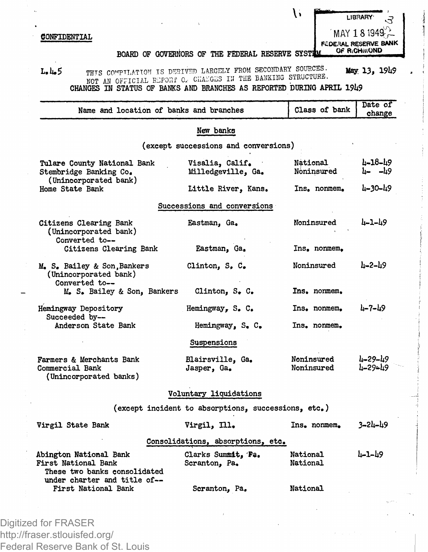## CONFIDENTIAL

**LIBRARY-MAY 181949^1**

 $\mathcal{N}$ 

FEDERAL RESERVE BANK OF RICHMOND

## BOARD OF GOVERNORS OF THE FEDERAL RESERVE SYSTIM

**L.14.5 THTS COirPTLATTO>! IS DERIVED LARGELY FROM SECONDARY SOURCES. May 13,** *I9h\$* NOT AN OFFICIAL REPORT C. CHAEGES IN THE BANKING STRUCTURE.<br>CHANGES IN STATUS OF BANKS AND BRANCHES AS REPORTED DURING APRIL 19U9

| Name and location of banks and branches                                       |                                                     | Class of bank            | Date of<br>change       |
|-------------------------------------------------------------------------------|-----------------------------------------------------|--------------------------|-------------------------|
|                                                                               | New banks                                           |                          |                         |
|                                                                               | (except successions and conversions)                |                          |                         |
| Tulare County National Bank<br>Stembridge Banking Co.                         | Visalia, Calif.<br>Milledgeville. Ga.               | National<br>Noninsured   | $4 - 18 - 49$<br>L- -L9 |
| (Unincorporated bank)<br>Home State Bank                                      | Little River. Kans.                                 | Ins. nonmem.             | 4-30-49                 |
|                                                                               | Successions and conversions                         |                          |                         |
| Citizens Clearing Bank<br>(Unincorporated bank)<br>Converted to--             | Eastman. Ga.                                        | Noninsured               | $4 - 1 - 49$            |
| Citizens Clearing Bank                                                        | Eastman, Ga.                                        | Ins, nonmem,             |                         |
| M. S. Bailey & Son, Bankers<br>(Unincorporated bank)<br>Converted to--        | Clinton, S. C.                                      | Noninsured               | $h - 2 - h9$            |
| M. S. Bailey & Son, Bankers                                                   | Clinton, S. C.                                      | Ins, normem,             |                         |
| Hemingway Depository<br>Succeeded by--                                        | Hemingway, S. C.                                    | Ins. nonmem.             | $4 - 7 - 49$            |
| Anderson State Bank                                                           | Hemingway, S. C.                                    | Ins. nonmem.             |                         |
|                                                                               | Suspensions                                         |                          |                         |
| Farmers & Merchants Bank<br>Commercial Bank<br>(Unincorporated banks)         | Blairsville, Ga.<br>Jasper, Ga.                     | Noninsured<br>Noninsured | 4-29-49<br>1-29∼19      |
|                                                                               | Voluntary liquidations                              |                          |                         |
|                                                                               | (except incident to absorptions, successions, etc.) |                          |                         |
| Virgil State Bank                                                             | Virgil, Ill.                                        | Ins. nonmem.             | $3 - 24 - 49$           |
|                                                                               | Consolidations, absorptions, etc.                   |                          |                         |
| Abington National Bank<br>First National Bank<br>These two banks consolidated | Clarks Summit, Pa.<br>Scranton, Pa.                 | National<br>National     | 1-1-19                  |
| under charter and title of--<br>First National Bank                           | Scranton, Pa.                                       | National                 |                         |
|                                                                               |                                                     |                          |                         |

Digitized for FRASER http://fraser.stlouisfed.org/ Federal Reserve Bank of St. Louis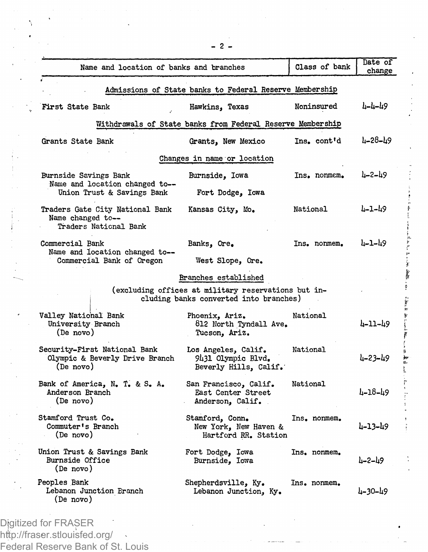| Name and location of banks and branches                                               |                                                                                               | Class of bank | Date of<br>change |
|---------------------------------------------------------------------------------------|-----------------------------------------------------------------------------------------------|---------------|-------------------|
|                                                                                       | Admissions of State banks to Federal Reserve Membership                                       |               |                   |
| First State Bank                                                                      | Hawkins, Texas                                                                                | Noninsured    | 4-4-49            |
|                                                                                       | Withdrawals of State banks from Federal Reserve Membership                                    |               |                   |
| Grants State Bank                                                                     | Grants, New Mexico                                                                            | Ins. cont'd   | ր-58-րծ           |
|                                                                                       | Changes in name or location                                                                   |               |                   |
| Burnside Savings Bank<br>Name and location changed to--<br>Union Trust & Savings Bank | Burnside, Iowa                                                                                | Ins. nonmem.  | 4–2–49            |
|                                                                                       | Fort Dodge, Iowa                                                                              |               |                   |
| Traders Gate City National Bank<br>Name changed to--<br>Traders National Bank         | Kansas City, Mo.                                                                              | National      | 4-1-49            |
| Commercial Bank<br>Name and location changed to--<br>Commercial Bank of Oregon        | Banks, Ore.                                                                                   | Ins. nonmem.  | 4-1-49            |
|                                                                                       | West Slope, Ore.                                                                              |               |                   |
|                                                                                       | Branches established                                                                          |               |                   |
|                                                                                       | (excluding offices at military reservations but in-<br>cluding banks converted into branches) |               |                   |
| Valley National Bank<br>University Branch<br>(De novo)                                | Phoenix, Ariz.<br>812 North Tyndall Ave.<br>Tucson, Ariz.                                     | National      | 4-11-49           |
| Security-First National Bank<br>Olympic & Beverly Drive Branch<br>(De novo)           | Los Angeles, Calif.<br>9431 Olympic Blvd.<br>Beverly Hills, Calif.                            | National      | 4-23-49           |
| Bank of America, N. T. & S. A.<br>Anderson Branch<br>(De novo)                        | San Francisco, Calif.<br>East Center Street<br>Anderson, Calif.                               | National      | 4–18–49           |
| Stamford Trust Co.<br>Commuter's Branch<br>(De novo)                                  | Stamford, Conn.<br>New York, New Haven &<br>Hartford RR. Station                              | Ins. nonmem.  | 4-13-49           |
| Union Trust & Savings Bank<br>Burnside Office<br>(De novo)                            | Fort Dodge, Iowa<br>Burnside, Iowa                                                            | Ins. nonmem.  | Խ-2–19            |
| Peoples Bank<br>Lebanon Junction Branch<br>(De novo)                                  | Shepherdsville, Ky.<br>Lebanon Junction, Ky.                                                  | Ins. nonmem.  | 4-30-49           |

Digitized for FRASER http://fraser.stlouisfed.org/ Federal Reserve Bank of St. Louis **- 2 -**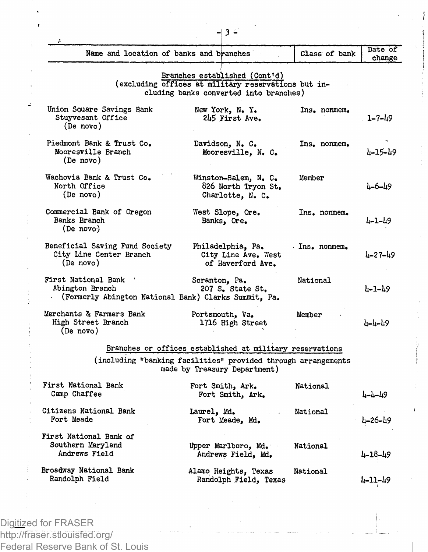| f.                                                                                               |                                                                                                                                |               |                   |
|--------------------------------------------------------------------------------------------------|--------------------------------------------------------------------------------------------------------------------------------|---------------|-------------------|
| Name and location of banks and branches                                                          |                                                                                                                                | Class of bank | Date of<br>change |
|                                                                                                  | Branches established (Cont'd)<br>(excluding offices at military reservations but in-<br>cluding banks converted into branches) |               |                   |
| Union Square Savings Bank<br>Stuyvesant Office<br>(De novo)                                      | New York, N.Y.<br>245 First Ave.                                                                                               | Ins. nonmem.  | $1 - 7 - 49$      |
| Piedmont Bank & Trust Co.<br>Mooresville Branch<br>(De novo)                                     | Davidson, N. C.<br>Mooresville, N. C.                                                                                          | Ins. nonmem.  | 4-15-49           |
| Wachovia Bank & Trust Co.<br>North Office<br>(De novo)                                           | Winston-Salem, N. C.<br>826 North Tryon St.<br>Charlotte, N. C.                                                                | Member        | 4–6–49            |
| Commercial Bank of Oregon<br>Banks Branch<br>(De novo)                                           | West Slope, Ore.<br>Banks, Ore.                                                                                                | Ins. nonmem.  | 4-1-49            |
| Beneficial Saving Fund Society<br>City Line Center Branch<br>(De novo)                           | Philadelphia, Pa.<br>City Line Ave. West<br>of Haverford Ave.                                                                  | Ins. nonmem.  | 4-27-49           |
| First National Bank '<br>Abington Branch<br>(Formerly Abington National Bank) Clarks Summit, Pa. | Scranton, Pa.<br>207 S. State St.                                                                                              | National      | հ-1-հ9            |
| Merchants & Farmers Bank<br>High Street Branch<br>(De novo)                                      | Portsmouth, Va.<br>1716 High Street                                                                                            | Member        | 4-4-49            |
|                                                                                                  | Branches or offices established at military reservations                                                                       |               |                   |
|                                                                                                  | (including "banking facilities" provided through arrangements<br>made by Treasury Department)                                  |               |                   |
| First National Bank<br>Camp Chaffee                                                              | Fort Smith, Ark.<br>Fort Smith, Ark.                                                                                           | National      | ד-ד-17            |
| Citizens National Bank<br>Fort Meade                                                             | Laurel, Md.<br>Fort Meade, Md.                                                                                                 | National      | 4–26–49           |
| First National Bank of<br>Southern Maryland<br>Andrews Field                                     | Upper Marlboro, Md.<br>Andrews Field, Md.                                                                                      | National      | 4-18-49           |
| Broadway National Bank<br>Randolph Field                                                         | Alamo Heights, Texas<br>Randolph Field, Texas                                                                                  | National      | 4-11-49           |
|                                                                                                  |                                                                                                                                |               |                   |

Dig<u>itiz</u>ed for FRASER http://fraser.stlouisfed.org/ Federal Reserve Bank of St. Louis